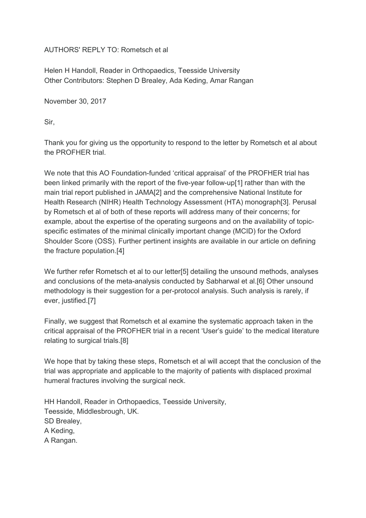AUTHORS' REPLY TO: Rometsch et al

Helen H Handoll, Reader in Orthopaedics, Teesside University Other Contributors: Stephen D Brealey, Ada Keding, Amar Rangan

November 30, 2017

Sir,

Thank you for giving us the opportunity to respond to the letter by Rometsch et al about the PROFHER trial.

We note that this AO Foundation-funded 'critical appraisal' of the PROFHER trial has been linked primarily with the report of the five-year follow-up[1] rather than with the main trial report published in JAMA[2] and the comprehensive National Institute for Health Research (NIHR) Health Technology Assessment (HTA) monograph[3]. Perusal by Rometsch et al of both of these reports will address many of their concerns; for example, about the expertise of the operating surgeons and on the availability of topicspecific estimates of the minimal clinically important change (MCID) for the Oxford Shoulder Score (OSS). Further pertinent insights are available in our article on defining the fracture population.[4]

We further refer Rometsch et al to our letter[5] detailing the unsound methods, analyses and conclusions of the meta-analysis conducted by Sabharwal et al.[6] Other unsound methodology is their suggestion for a per-protocol analysis. Such analysis is rarely, if ever, justified.[7]

Finally, we suggest that Rometsch et al examine the systematic approach taken in the critical appraisal of the PROFHER trial in a recent 'User's guide' to the medical literature relating to surgical trials.[8]

We hope that by taking these steps, Rometsch et al will accept that the conclusion of the trial was appropriate and applicable to the majority of patients with displaced proximal humeral fractures involving the surgical neck.

HH Handoll, Reader in Orthopaedics, Teesside University, Teesside, Middlesbrough, UK. SD Brealey, A Keding, A Rangan.